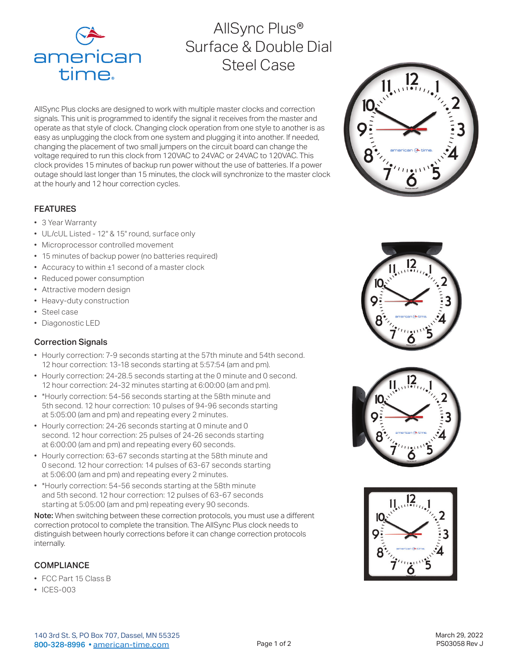

# AllSync Plus® Surface & Double Dial Steel Case

AllSync Plus clocks are designed to work with multiple master clocks and correction signals. This unit is programmed to identify the signal it receives from the master and operate as that style of clock. Changing clock operation from one style to another is as easy as unplugging the clock from one system and plugging it into another. If needed, changing the placement of two small jumpers on the circuit board can change the voltage required to run this clock from 120VAC to 24VAC or 24VAC to 120VAC. This clock provides 15 minutes of backup run power without the use of batteries. If a power outage should last longer than 15 minutes, the clock will synchronize to the master clock at the hourly and 12 hour correction cycles.

## FEATURES

- 3 Year Warranty
- UL/cUL Listed 12" & 15" round, surface only
- Microprocessor controlled movement
- 15 minutes of backup power (no batteries required)
- Accuracy to within ±1 second of a master clock
- Reduced power consumption
- Attractive modern design
- Heavy-duty construction
- Steel case
- Diagonostic LED

# Correction Signals

- Hourly correction: 7-9 seconds starting at the 57th minute and 54th second. 12 hour correction: 13-18 seconds starting at 5:57:54 (am and pm).
- Hourly correction: 24-28.5 seconds starting at the 0 minute and 0 second. 12 hour correction: 24-32 minutes starting at 6:00:00 (am and pm).
- \*Hourly correction: 54-56 seconds starting at the 58th minute and 5th second. 12 hour correction: 10 pulses of 94-96 seconds starting at 5:05:00 (am and pm) and repeating every 2 minutes.
- Hourly correction: 24-26 seconds starting at 0 minute and 0 second. 12 hour correction: 25 pulses of 24-26 seconds starting at 6:00:00 (am and pm) and repeating every 60 seconds.
- Hourly correction: 63-67 seconds starting at the 58th minute and 0 second. 12 hour correction: 14 pulses of 63-67 seconds starting at 5:06:00 (am and pm) and repeating every 2 minutes.
- \*Hourly correction: 54-56 seconds starting at the 58th minute and 5th second. 12 hour correction: 12 pulses of 63-67 seconds starting at 5:05:00 (am and pm) repeating every 90 seconds.

Note: When switching between these correction protocols, you must use a different correction protocol to complete the transition. The AllSync Plus clock needs to distinguish between hourly corrections before it can change correction protocols internally.

# **COMPLIANCE**

- FCC Part 15 Class B
- ICES-003